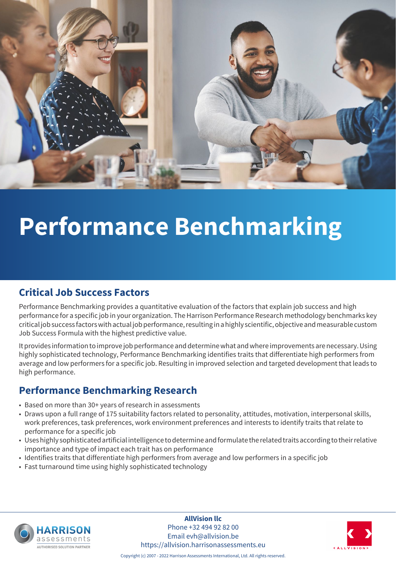

## **Performance Benchmarking**

#### **Critical Job Success Factors**

Performance Benchmarking provides a quantitative evaluation of the factors that explain job success and high performance for a specific job in your organization. The Harrison Performance Research methodology benchmarks key critical job success factors with actual job performance, resulting in a highly scientific, objective and measurable custom Job Success Formula with the highest predictive value.

It provides information to improve job performance and determine what and where improvements are necessary. Using highly sophisticated technology, Performance Benchmarking identifies traits that differentiate high performers from average and low performers for a specific job. Resulting in improved selection and targeted development that leads to high performance.

#### **Performance Benchmarking Research**

- Based on more than 30+ years of research in assessments
- Draws upon a full range of 175 suitability factors related to personality, attitudes, motivation, interpersonal skills, work preferences, task preferences, work environment preferences and interests to identify traits that relate to performance for a specific job
- Uses highly sophisticated artificial intelligence to determine and formulate the related traits according to their relative importance and type of impact each trait has on performance
- Identifies traits that differentiate high performers from average and low performers in a specific job
- Fast turnaround time using highly sophisticated technology



**AllVision llc** Phone +32 494 92 82 00 Email evh@allvision.be https://allvision.harrisonassessments.eu